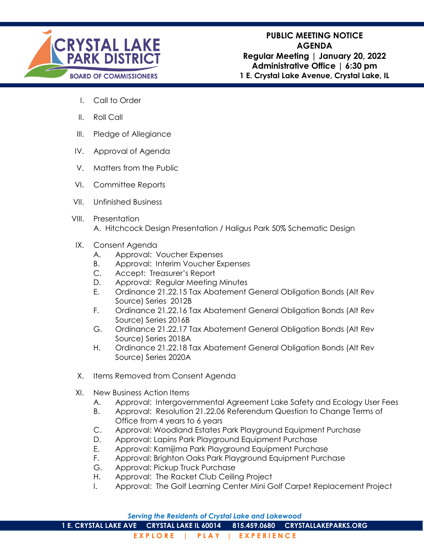

- I. Call to Order
- II. Roll Call
- III. Pledge of Allegiance
- IV. Approval of Agenda
- V. Matters from the Public
- VI. Committee Reports
- VII. Unfinished Business
- VIII. Presentation A. Hitchcock Design Presentation / Haligus Park 50% Schematic Design
- IX. Consent Agenda
	- A. Approval: Voucher Expenses
	- B. Approval: Interim Voucher Expenses
	- C. Accept: Treasurer's Report
	- D. Approval: Regular Meeting Minutes
	- E. Ordinance 21.22.15 Tax Abatement General Obligation Bonds (Alt Rev Source) Series 2012B
	- F. Ordinance 21.22.16 Tax Abatement General Obligation Bonds (Alt Rev Source) Series 2016B
	- G. Ordinance 21.22.17 Tax Abatement General Obligation Bonds (Alt Rev Source) Series 2018A
	- H. Ordinance 21.22.18 Tax Abatement General Obligation Bonds (Alt Rev Source) Series 2020A
- X. Items Removed from Consent Agenda
- XI. New Business Action Items
	- A. Approval: Intergovernmental Agreement Lake Safety and Ecology User Fees
	- B. Approval: Resolution 21.22.06 Referendum Question to Change Terms of Office from 4 years to 6 years
	- C. Approval: Woodland Estates Park Playground Equipment Purchase
	- D. Approval: Lapins Park Playground Equipment Purchase
	- E. Approval: Kamijima Park Playground Equipment Purchase
	- F. Approval: Brighton Oaks Park Playground Equipment Purchase
	- G. Approval: Pickup Truck Purchase
	- H. Approval: The Racket Club Ceiling Project
	- I. Approval: The Golf Learning Center Mini Golf Carpet Replacement Project

**1 E. CRYSTAL LAKE AVE CRYSTAL LAKE IL 60014 815.459.0680 CRYSTALLAKEPARKS.ORG**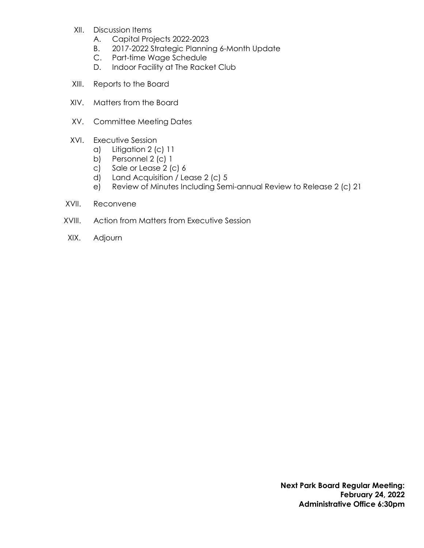- XII. Discussion Items
	- A. Capital Projects 2022-2023
	- B. 2017-2022 Strategic Planning 6-Month Update
	- C. Part-time Wage Schedule
	- D. Indoor Facility at The Racket Club
- XIII. Reports to the Board
- XIV. Matters from the Board
- XV. Committee Meeting Dates
- XVI. Executive Session
	- a) Litigation 2 (c) 11
	- b) Personnel 2 (c) 1
	- c) Sale or Lease 2 (c) 6
	- d) Land Acquisition / Lease 2 (c) 5
	- e) Review of Minutes Including Semi-annual Review to Release 2 (c) 21
- XVII. Reconvene
- XVIII. Action from Matters from Executive Session
- XIX. Adjourn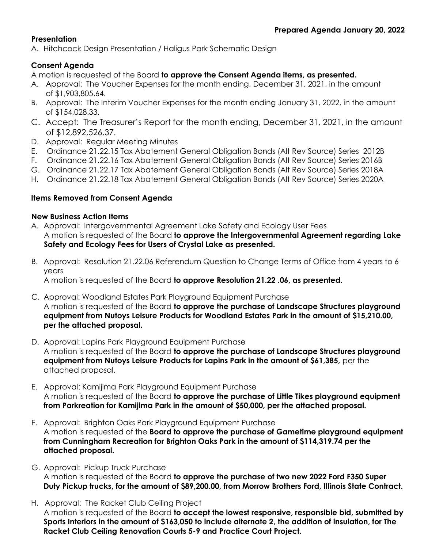# **Presentation**

A. Hitchcock Design Presentation / Haligus Park Schematic Design

# **Consent Agenda**

A motion is requested of the Board **to approve the Consent Agenda items, as presented.**

- A. Approval: The Voucher Expenses for the month ending, December 31, 2021, in the amount of \$1,903,805.64.
- B. Approval: The Interim Voucher Expenses for the month ending January 31, 2022, in the amount of \$154,028.33.
- C. Accept: The Treasurer's Report for the month ending, December 31, 2021, in the amount of \$12,892,526.37.
- D. Approval: Regular Meeting Minutes
- E. Ordinance 21.22.15 Tax Abatement General Obligation Bonds (Alt Rev Source) Series 2012B
- F. Ordinance 21.22.16 Tax Abatement General Obligation Bonds (Alt Rev Source) Series 2016B
- G. Ordinance 21.22.17 Tax Abatement General Obligation Bonds (Alt Rev Source) Series 2018A
- H. Ordinance 21.22.18 Tax Abatement General Obligation Bonds (Alt Rev Source) Series 2020A

# **Items Removed from Consent Agenda**

## **New Business Action Items**

- A. Approval: Intergovernmental Agreement Lake Safety and Ecology User Fees A motion is requested of the Board **to approve the Intergovernmental Agreement regarding Lake Safety and Ecology Fees for Users of Crystal Lake as presented.**
- B. Approval: Resolution 21.22.06 Referendum Question to Change Terms of Office from 4 years to 6 years

A motion is requested of the Board **to approve Resolution 21.22 .06, as presented.** 

- C. Approval: Woodland Estates Park Playground Equipment Purchase A motion is requested of the Board **to approve the purchase of Landscape Structures playground equipment from Nutoys Leisure Products for Woodland Estates Park in the amount of \$15,210.00, per the attached proposal.**
- D. Approval: Lapins Park Playground Equipment Purchase A motion is requested of the Board **to approve the purchase of Landscape Structures playground equipment from Nutoys Leisure Products for Lapins Park in the amount of \$61,385,** per the attached proposal.
- E. Approval: Kamijima Park Playground Equipment Purchase A motion is requested of the Board **to approve the purchase of Little Tikes playground equipment from Parkreation for Kamijima Park in the amount of \$50,000, per the attached proposal.**
- F. Approval: Brighton Oaks Park Playground Equipment Purchase A motion is requested of the **Board to approve the purchase of Gametime playground equipment from Cunningham Recreation for Brighton Oaks Park in the amount of \$114,319.74 per the attached proposal.**
- G. Approval: Pickup Truck Purchase A motion is requested of the Board **to approve the purchase of two new 2022 Ford F350 Super Duty Pickup trucks, for the amount of \$89,200.00, from Morrow Brothers Ford, Illinois State Contract.**
- H. Approval: The Racket Club Ceiling Project

A motion is requested of the Board **to accept the lowest responsive, responsible bid, submitted by Sports Interiors in the amount of \$163,050 to include alternate 2, the addition of insulation, for The Racket Club Ceiling Renovation Courts 5-9 and Practice Court Project.**